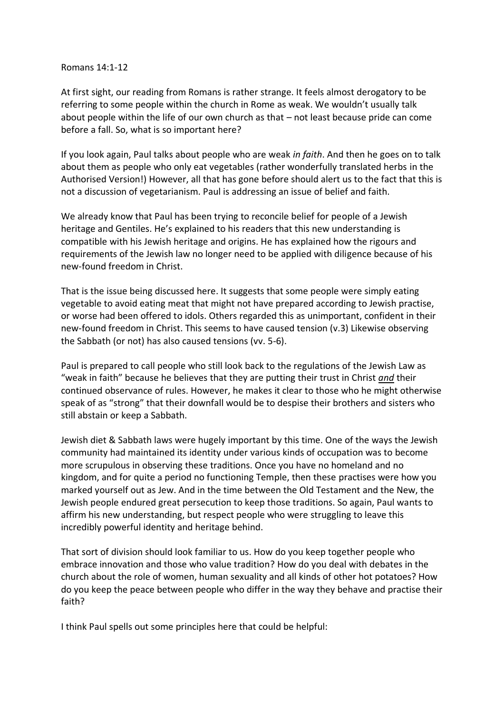## Romans 14:1-12

At first sight, our reading from Romans is rather strange. It feels almost derogatory to be referring to some people within the church in Rome as weak. We wouldn't usually talk about people within the life of our own church as that – not least because pride can come before a fall. So, what is so important here?

If you look again, Paul talks about people who are weak *in faith*. And then he goes on to talk about them as people who only eat vegetables (rather wonderfully translated herbs in the Authorised Version!) However, all that has gone before should alert us to the fact that this is not a discussion of vegetarianism. Paul is addressing an issue of belief and faith.

We already know that Paul has been trying to reconcile belief for people of a Jewish heritage and Gentiles. He's explained to his readers that this new understanding is compatible with his Jewish heritage and origins. He has explained how the rigours and requirements of the Jewish law no longer need to be applied with diligence because of his new-found freedom in Christ.

That is the issue being discussed here. It suggests that some people were simply eating vegetable to avoid eating meat that might not have prepared according to Jewish practise, or worse had been offered to idols. Others regarded this as unimportant, confident in their new-found freedom in Christ. This seems to have caused tension (v.3) Likewise observing the Sabbath (or not) has also caused tensions (vv. 5-6).

Paul is prepared to call people who still look back to the regulations of the Jewish Law as "weak in faith" because he believes that they are putting their trust in Christ *and* their continued observance of rules. However, he makes it clear to those who he might otherwise speak of as "strong" that their downfall would be to despise their brothers and sisters who still abstain or keep a Sabbath.

Jewish diet & Sabbath laws were hugely important by this time. One of the ways the Jewish community had maintained its identity under various kinds of occupation was to become more scrupulous in observing these traditions. Once you have no homeland and no kingdom, and for quite a period no functioning Temple, then these practises were how you marked yourself out as Jew. And in the time between the Old Testament and the New, the Jewish people endured great persecution to keep those traditions. So again, Paul wants to affirm his new understanding, but respect people who were struggling to leave this incredibly powerful identity and heritage behind.

That sort of division should look familiar to us. How do you keep together people who embrace innovation and those who value tradition? How do you deal with debates in the church about the role of women, human sexuality and all kinds of other hot potatoes? How do you keep the peace between people who differ in the way they behave and practise their faith?

I think Paul spells out some principles here that could be helpful: